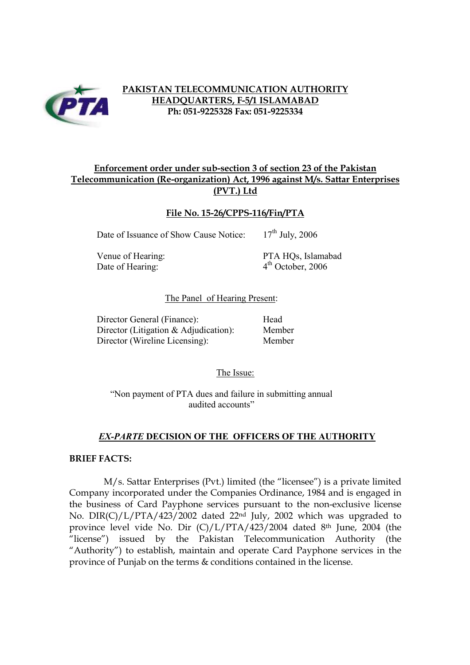

## **PAKISTAN TELECOMMUNICATION AUTHORITY HEADQUARTERS, F-5/1 ISLAMABAD Ph: 051-9225328 Fax: 051-9225334**

### **Enforcement order under sub-section 3 of section 23 of the Pakistan Telecommunication (Re-organization) Act, 1996 against M/s. Sattar Enterprises (PVT.) Ltd**

## **File No. 15-26/CPPS-116/Fin/PTA**

Date of Issuance of Show Cause Notice: 17<sup>th</sup> July, 2006

Date of Hearing:  $4<sup>th</sup>$  October, 2006

Venue of Hearing: PTA HQs, Islamabad

#### The Panel of Hearing Present:

Director General (Finance): Head Director (Litigation & Adjudication): Member Director (Wireline Licensing): Member

The Issue:

"Non payment of PTA dues and failure in submitting annual audited accounts"

# *EX-PARTE* **DECISION OF THE OFFICERS OF THE AUTHORITY**

#### **BRIEF FACTS:**

M/s. Sattar Enterprises (Pvt.) limited (the "licensee") is a private limited Company incorporated under the Companies Ordinance, 1984 and is engaged in the business of Card Payphone services pursuant to the non-exclusive license No. DIR(C)/L/PTA/423/2002 dated 22nd July, 2002 which was upgraded to province level vide No. Dir (C)/L/PTA/423/2004 dated 8th June, 2004 (the "license") issued by the Pakistan Telecommunication Authority (the "Authority") to establish, maintain and operate Card Payphone services in the province of Punjab on the terms & conditions contained in the license.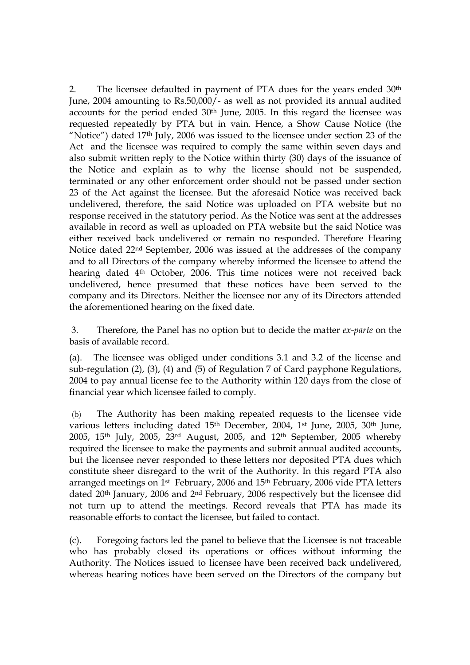2. The licensee defaulted in payment of PTA dues for the years ended 30<sup>th</sup> June, 2004 amounting to Rs.50,000/- as well as not provided its annual audited accounts for the period ended 30th June, 2005. In this regard the licensee was requested repeatedly by PTA but in vain. Hence, a Show Cause Notice (the "Notice") dated 17th July, 2006 was issued to the licensee under section 23 of the Act and the licensee was required to comply the same within seven days and also submit written reply to the Notice within thirty (30) days of the issuance of the Notice and explain as to why the license should not be suspended, terminated or any other enforcement order should not be passed under section 23 of the Act against the licensee. But the aforesaid Notice was received back undelivered, therefore, the said Notice was uploaded on PTA website but no response received in the statutory period. As the Notice was sent at the addresses available in record as well as uploaded on PTA website but the said Notice was either received back undelivered or remain no responded. Therefore Hearing Notice dated 22nd September, 2006 was issued at the addresses of the company and to all Directors of the company whereby informed the licensee to attend the hearing dated 4<sup>th</sup> October, 2006. This time notices were not received back undelivered, hence presumed that these notices have been served to the company and its Directors. Neither the licensee nor any of its Directors attended the aforementioned hearing on the fixed date.

3. Therefore, the Panel has no option but to decide the matter *ex-parte* on the basis of available record.

(a). The licensee was obliged under conditions 3.1 and 3.2 of the license and sub-regulation (2), (3), (4) and (5) of Regulation 7 of Card payphone Regulations, 2004 to pay annual license fee to the Authority within 120 days from the close of financial year which licensee failed to comply.

(b) The Authority has been making repeated requests to the licensee vide various letters including dated 15<sup>th</sup> December, 2004, 1<sup>st</sup> June, 2005, 30<sup>th</sup> June, 2005, 15th July, 2005, 23rd August, 2005, and 12th September, 2005 whereby required the licensee to make the payments and submit annual audited accounts, but the licensee never responded to these letters nor deposited PTA dues which constitute sheer disregard to the writ of the Authority. In this regard PTA also arranged meetings on 1st February, 2006 and 15th February, 2006 vide PTA letters dated 20th January, 2006 and 2nd February, 2006 respectively but the licensee did not turn up to attend the meetings. Record reveals that PTA has made its reasonable efforts to contact the licensee, but failed to contact.

(c). Foregoing factors led the panel to believe that the Licensee is not traceable who has probably closed its operations or offices without informing the Authority. The Notices issued to licensee have been received back undelivered, whereas hearing notices have been served on the Directors of the company but